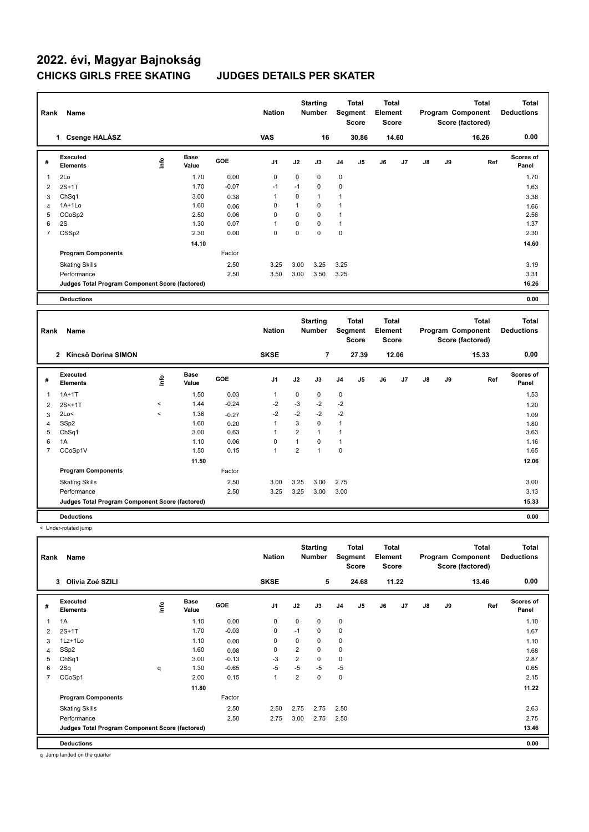| Rank           | Name                                            |                          |                      |         | <b>Nation</b>  |                | <b>Starting</b><br><b>Number</b> |              | <b>Total</b><br>Segment<br><b>Score</b> | <b>Total</b><br>Element<br><b>Score</b> |       |               |    | <b>Total</b><br>Program Component<br>Score (factored) |     | <b>Total</b><br><b>Deductions</b> |
|----------------|-------------------------------------------------|--------------------------|----------------------|---------|----------------|----------------|----------------------------------|--------------|-----------------------------------------|-----------------------------------------|-------|---------------|----|-------------------------------------------------------|-----|-----------------------------------|
|                | 1 Csenge HALÁSZ                                 |                          |                      |         | VAS            |                | 16                               |              | 30.86                                   |                                         | 14.60 |               |    | 16.26                                                 |     | 0.00                              |
| #              | <b>Executed</b><br><b>Elements</b>              | <u>info</u>              | <b>Base</b><br>Value | GOE     | J <sub>1</sub> | J2             | J3                               | J4           | J5                                      | J6                                      | J7    | $\mathsf{J}8$ | J9 |                                                       | Ref | Scores of<br>Panel                |
| $\mathbf{1}$   | 2Lo                                             |                          | 1.70                 | 0.00    | $\mathbf 0$    | 0              | $\mathbf 0$                      | 0            |                                         |                                         |       |               |    |                                                       |     | 1.70                              |
| $\overline{2}$ | $2S+1T$                                         |                          | 1.70                 | $-0.07$ | $-1$           | $-1$           | $\mathbf 0$                      | $\mathbf 0$  |                                         |                                         |       |               |    |                                                       |     | 1.63                              |
| 3              | ChSq1                                           |                          | 3.00                 | 0.38    | 1              | $\mathbf 0$    | $\mathbf{1}$                     | $\mathbf{1}$ |                                         |                                         |       |               |    |                                                       |     | 3.38                              |
| $\overline{4}$ | $1A+1Lo$                                        |                          | 1.60                 | 0.06    | $\mathbf 0$    | $\mathbf{1}$   | $\mathbf 0$                      | $\mathbf{1}$ |                                         |                                         |       |               |    |                                                       |     | 1.66                              |
| 5              | CCoSp2                                          |                          | 2.50                 | 0.06    | $\mathbf 0$    | 0              | $\mathbf 0$                      | $\mathbf{1}$ |                                         |                                         |       |               |    |                                                       |     | 2.56                              |
| 6              | 2S                                              |                          | 1.30                 | 0.07    | $\mathbf{1}$   | 0              | $\mathbf 0$                      | $\mathbf{1}$ |                                         |                                         |       |               |    |                                                       |     | 1.37                              |
| $\overline{7}$ | CSS <sub>p2</sub>                               |                          | 2.30                 | 0.00    | $\Omega$       | 0              | $\theta$                         | $\mathbf 0$  |                                         |                                         |       |               |    |                                                       |     | 2.30                              |
|                |                                                 |                          | 14.10                |         |                |                |                                  |              |                                         |                                         |       |               |    |                                                       |     | 14.60                             |
|                | <b>Program Components</b>                       |                          |                      | Factor  |                |                |                                  |              |                                         |                                         |       |               |    |                                                       |     |                                   |
|                | <b>Skating Skills</b>                           |                          |                      | 2.50    | 3.25           | 3.00           | 3.25                             | 3.25         |                                         |                                         |       |               |    |                                                       |     | 3.19                              |
|                | Performance                                     |                          |                      | 2.50    | 3.50           | 3.00           | 3.50                             | 3.25         |                                         |                                         |       |               |    |                                                       |     | 3.31                              |
|                | Judges Total Program Component Score (factored) |                          |                      |         |                |                |                                  |              |                                         |                                         |       |               |    |                                                       |     | 16.26                             |
|                | <b>Deductions</b>                               |                          |                      |         |                |                |                                  |              |                                         |                                         |       |               |    |                                                       |     | 0.00                              |
|                |                                                 |                          |                      |         |                |                |                                  |              |                                         |                                         |       |               |    |                                                       |     |                                   |
|                |                                                 |                          |                      |         |                |                |                                  |              |                                         |                                         |       |               |    |                                                       |     |                                   |
| Rank           | Name                                            |                          |                      |         | <b>Nation</b>  |                | <b>Starting</b><br><b>Number</b> |              | <b>Total</b><br>Segment<br><b>Score</b> | <b>Total</b><br>Element<br><b>Score</b> |       |               |    | <b>Total</b><br>Program Component<br>Score (factored) |     | <b>Total</b><br><b>Deductions</b> |
|                | 2 Kincső Dorina SIMON                           |                          |                      |         | <b>SKSE</b>    |                | $\overline{7}$                   |              | 27.39                                   |                                         | 12.06 |               |    | 15.33                                                 |     | 0.00                              |
| #              | <b>Executed</b><br><b>Elements</b>              | lnfo                     | <b>Base</b><br>Value | GOE     | J <sub>1</sub> | J2             | J3                               | J4           | J5                                      | J6                                      | J7    | $\mathsf{J}8$ | J9 |                                                       | Ref | Scores of<br>Panel                |
| 1              | $1A+1T$                                         |                          | 1.50                 | 0.03    | $\mathbf{1}$   | 0              | 0                                | 0            |                                         |                                         |       |               |    |                                                       |     | 1.53                              |
| $\overline{2}$ | $2S < +1T$                                      | $\hat{}$                 | 1.44                 | $-0.24$ | $-2$           | $-3$           | $-2$                             | $-2$         |                                         |                                         |       |               |    |                                                       |     | 1.20                              |
| 3              | 2Lo<                                            | $\overline{\phantom{a}}$ | 1.36                 | $-0.27$ | $-2$           | $-2$           | $-2$                             | $-2$         |                                         |                                         |       |               |    |                                                       |     | 1.09                              |
| $\overline{4}$ | SSp2                                            |                          | 1.60                 | 0.20    | $\mathbf{1}$   | 3              | $\mathbf 0$                      | $\mathbf{1}$ |                                         |                                         |       |               |    |                                                       |     | 1.80                              |
| 5              | ChSq1                                           |                          | 3.00                 | 0.63    | $\mathbf{1}$   | $\overline{2}$ | $\mathbf{1}$                     | $\mathbf{1}$ |                                         |                                         |       |               |    |                                                       |     | 3.63                              |
| $\,6$          | 1A                                              |                          | 1.10                 | 0.06    | $\mathbf 0$    | $\mathbf{1}$   | $\mathbf 0$                      | $\mathbf{1}$ |                                         |                                         |       |               |    |                                                       |     | 1.16                              |
| $\overline{7}$ | CCoSp1V                                         |                          | 1.50                 | 0.15    | $\mathbf{1}$   | $\overline{2}$ | $\mathbf{1}$                     | $\mathbf 0$  |                                         |                                         |       |               |    |                                                       |     | 1.65                              |
|                |                                                 |                          | 11.50                |         |                |                |                                  |              |                                         |                                         |       |               |    |                                                       |     | 12.06                             |
|                | <b>Program Components</b>                       |                          |                      | Factor  |                |                |                                  |              |                                         |                                         |       |               |    |                                                       |     |                                   |
|                |                                                 |                          |                      | 2.50    | 3.00           | 3.25           | 3.00                             | 2.75         |                                         |                                         |       |               |    |                                                       |     | 3.00                              |
|                | <b>Skating Skills</b><br>Performance            |                          |                      | 2.50    | 3.25           | 3.25           | 3.00                             | 3.00         |                                         |                                         |       |               |    |                                                       |     | 3.13                              |
|                | Judges Total Program Component Score (factored) |                          |                      |         |                |                |                                  |              |                                         |                                         |       |               |    |                                                       |     | 15.33                             |

< Under-rotated jump

| Rank | Name                                            |      |                      |            | <b>Nation</b>  |                | <b>Starting</b><br><b>Number</b> |                | Total<br>Segment<br><b>Score</b> | <b>Total</b><br>Element<br><b>Score</b> |       |    |    | <b>Total</b><br>Program Component<br>Score (factored) | Total<br><b>Deductions</b> |
|------|-------------------------------------------------|------|----------------------|------------|----------------|----------------|----------------------------------|----------------|----------------------------------|-----------------------------------------|-------|----|----|-------------------------------------------------------|----------------------------|
|      | Olivia Zoé SZILI<br>3                           |      |                      |            | <b>SKSE</b>    |                | 5                                |                | 24.68                            |                                         | 11.22 |    |    | 13.46                                                 | 0.00                       |
| #    | Executed<br><b>Elements</b>                     | lnfo | <b>Base</b><br>Value | <b>GOE</b> | J <sub>1</sub> | J2             | J3                               | J <sub>4</sub> | J <sub>5</sub>                   | J6                                      | J7    | J8 | J9 | Ref                                                   | <b>Scores of</b><br>Panel  |
| 1    | 1A                                              |      | 1.10                 | 0.00       | 0              | $\mathbf 0$    | $\mathbf 0$                      | $\mathbf 0$    |                                  |                                         |       |    |    |                                                       | 1.10                       |
| 2    | $2S+1T$                                         |      | 1.70                 | $-0.03$    | $\mathbf 0$    | $-1$           | 0                                | $\mathbf 0$    |                                  |                                         |       |    |    |                                                       | 1.67                       |
| 3    | 1Lz+1Lo                                         |      | 1.10                 | 0.00       | $\mathbf 0$    | 0              | $\mathbf 0$                      | $\mathbf 0$    |                                  |                                         |       |    |    |                                                       | 1.10                       |
| 4    | SSp2                                            |      | 1.60                 | 0.08       | 0              | $\overline{2}$ | 0                                | $\mathbf 0$    |                                  |                                         |       |    |    |                                                       | 1.68                       |
| 5    | Ch <sub>Sq1</sub>                               |      | 3.00                 | $-0.13$    | $-3$           | $\overline{2}$ | 0                                | 0              |                                  |                                         |       |    |    |                                                       | 2.87                       |
| 6    | 2Sq                                             | q    | 1.30                 | $-0.65$    | $-5$           | $-5$           | $-5$                             | $-5$           |                                  |                                         |       |    |    |                                                       | 0.65                       |
| 7    | CCoSp1                                          |      | 2.00                 | 0.15       | $\overline{1}$ | $\overline{2}$ | $\mathbf 0$                      | $\mathbf 0$    |                                  |                                         |       |    |    |                                                       | 2.15                       |
|      |                                                 |      | 11.80                |            |                |                |                                  |                |                                  |                                         |       |    |    |                                                       | 11.22                      |
|      | <b>Program Components</b>                       |      |                      | Factor     |                |                |                                  |                |                                  |                                         |       |    |    |                                                       |                            |
|      | <b>Skating Skills</b>                           |      |                      | 2.50       | 2.50           | 2.75           | 2.75                             | 2.50           |                                  |                                         |       |    |    |                                                       | 2.63                       |
|      | Performance                                     |      |                      | 2.50       | 2.75           | 3.00           | 2.75                             | 2.50           |                                  |                                         |       |    |    |                                                       | 2.75                       |
|      | Judges Total Program Component Score (factored) |      |                      |            |                |                |                                  |                |                                  |                                         |       |    |    |                                                       | 13.46                      |
|      | <b>Deductions</b>                               |      |                      |            |                |                |                                  |                |                                  |                                         |       |    |    |                                                       | 0.00                       |

q Jump landed on the quarter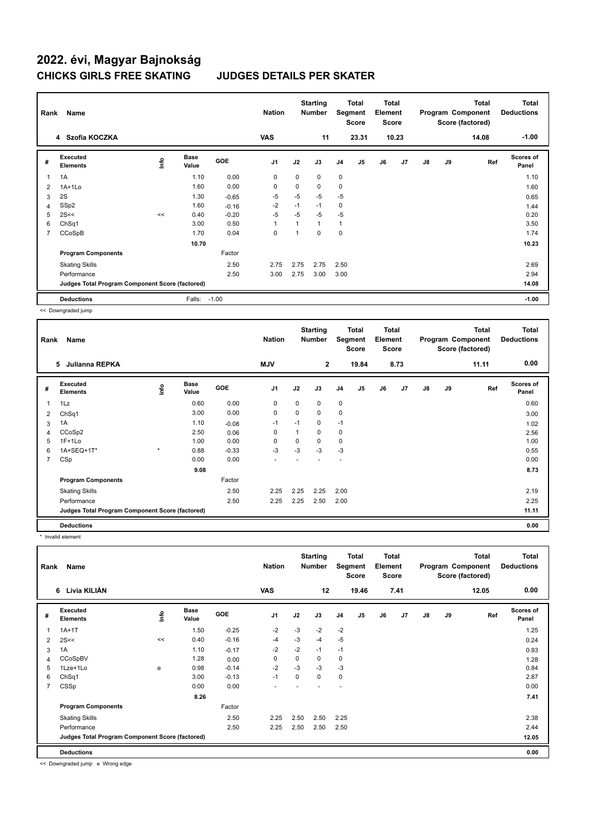| Rank           | Name                                            |            | <b>Nation</b>        |            | <b>Starting</b><br><b>Number</b> | Segment     | Total<br><b>Score</b> | <b>Total</b><br>Element<br><b>Score</b> |       |    |                | <b>Total</b><br>Program Component<br>Score (factored) | <b>Total</b><br><b>Deductions</b> |       |                           |
|----------------|-------------------------------------------------|------------|----------------------|------------|----------------------------------|-------------|-----------------------|-----------------------------------------|-------|----|----------------|-------------------------------------------------------|-----------------------------------|-------|---------------------------|
|                | 4 Szofia KOCZKA                                 |            |                      |            | <b>VAS</b>                       |             | 11                    |                                         | 23.31 |    | 10.23          |                                                       |                                   | 14.08 | $-1.00$                   |
| #              | Executed<br><b>Elements</b>                     | <b>Lin</b> | <b>Base</b><br>Value | <b>GOE</b> | J <sub>1</sub>                   | J2          | J3                    | J <sub>4</sub>                          | J5    | J6 | J <sub>7</sub> | $\mathsf{J}8$                                         | J9                                | Ref   | <b>Scores of</b><br>Panel |
| 1              | 1A                                              |            | 1.10                 | 0.00       | $\mathbf 0$                      | $\mathbf 0$ | 0                     | $\mathbf 0$                             |       |    |                |                                                       |                                   |       | 1.10                      |
| 2              | $1A+1Lo$                                        |            | 1.60                 | 0.00       | $\mathbf 0$                      | 0           | 0                     | $\mathbf 0$                             |       |    |                |                                                       |                                   |       | 1.60                      |
| 3              | 2S                                              |            | 1.30                 | $-0.65$    | $-5$                             | $-5$        | $-5$                  | $-5$                                    |       |    |                |                                                       |                                   |       | 0.65                      |
| 4              | SSp2                                            |            | 1.60                 | $-0.16$    | $-2$                             | $-1$        | $-1$                  | $\mathbf 0$                             |       |    |                |                                                       |                                   |       | 1.44                      |
| 5              | 2S<<                                            | <<         | 0.40                 | $-0.20$    | $-5$                             | $-5$        | $-5$                  | $-5$                                    |       |    |                |                                                       |                                   |       | 0.20                      |
| 6              | ChSq1                                           |            | 3.00                 | 0.50       | $\mathbf 1$                      | 1           | 1                     | $\mathbf{1}$                            |       |    |                |                                                       |                                   |       | 3.50                      |
| $\overline{7}$ | CCoSpB                                          |            | 1.70                 | 0.04       | $\mathbf 0$                      | 1           | $\Omega$              | $\mathbf 0$                             |       |    |                |                                                       |                                   |       | 1.74                      |
|                |                                                 |            | 10.70                |            |                                  |             |                       |                                         |       |    |                |                                                       |                                   |       | 10.23                     |
|                | <b>Program Components</b>                       |            |                      | Factor     |                                  |             |                       |                                         |       |    |                |                                                       |                                   |       |                           |
|                | <b>Skating Skills</b>                           |            |                      | 2.50       | 2.75                             | 2.75        | 2.75                  | 2.50                                    |       |    |                |                                                       |                                   |       | 2.69                      |
|                | Performance                                     |            |                      | 2.50       | 3.00                             | 2.75        | 3.00                  | 3.00                                    |       |    |                |                                                       |                                   |       | 2.94                      |
|                | Judges Total Program Component Score (factored) |            |                      |            |                                  |             |                       |                                         |       |    |                |                                                       |                                   |       | 14.08                     |
|                | <b>Deductions</b>                               |            | Falls:               | $-1.00$    |                                  |             |                       |                                         |       |    |                |                                                       |                                   |       | $-1.00$                   |

<< Downgraded jump

| Rank           | Name                                            |         |                      |         | <b>Nation</b>  |      | <b>Starting</b><br><b>Number</b> |                | <b>Total</b><br>Segment<br><b>Score</b> | <b>Total</b><br>Element<br><b>Score</b> |      |               |    | Total<br>Program Component<br>Score (factored) | <b>Total</b><br><b>Deductions</b> |
|----------------|-------------------------------------------------|---------|----------------------|---------|----------------|------|----------------------------------|----------------|-----------------------------------------|-----------------------------------------|------|---------------|----|------------------------------------------------|-----------------------------------|
|                | 5<br>Julianna REPKA                             |         |                      |         | <b>MJV</b>     |      | $\mathbf{2}$                     |                | 19.84                                   |                                         | 8.73 |               |    | 11.11                                          | 0.00                              |
| #              | Executed<br><b>Elements</b>                     | ١mfo    | <b>Base</b><br>Value | GOE     | J <sub>1</sub> | J2   | J3                               | J <sub>4</sub> | J <sub>5</sub>                          | J6                                      | J7   | $\mathsf{J}8$ | J9 | Ref                                            | Scores of<br>Panel                |
| 1              | 1Lz                                             |         | 0.60                 | 0.00    | 0              | 0    | 0                                | $\mathbf 0$    |                                         |                                         |      |               |    |                                                | 0.60                              |
| 2              | ChSq1                                           |         | 3.00                 | 0.00    | 0              | 0    | 0                                | $\mathbf 0$    |                                         |                                         |      |               |    |                                                | 3.00                              |
| 3              | 1A                                              |         | 1.10                 | $-0.08$ | $-1$           | $-1$ | 0                                | $-1$           |                                         |                                         |      |               |    |                                                | 1.02                              |
| 4              | CCoSp2                                          |         | 2.50                 | 0.06    | 0              | 1    | 0                                | 0              |                                         |                                         |      |               |    |                                                | 2.56                              |
| 5              | $1F+1Lo$                                        |         | 1.00                 | 0.00    | 0              | 0    | 0                                | $\mathbf 0$    |                                         |                                         |      |               |    |                                                | 1.00                              |
| 6              | 1A+SEQ+1T*                                      | $\star$ | 0.88                 | $-0.33$ | $-3$           | $-3$ | $-3$                             | $-3$           |                                         |                                         |      |               |    |                                                | 0.55                              |
| $\overline{7}$ | CSp                                             |         | 0.00                 | 0.00    |                |      |                                  | ۰              |                                         |                                         |      |               |    |                                                | 0.00                              |
|                |                                                 |         | 9.08                 |         |                |      |                                  |                |                                         |                                         |      |               |    |                                                | 8.73                              |
|                | <b>Program Components</b>                       |         |                      | Factor  |                |      |                                  |                |                                         |                                         |      |               |    |                                                |                                   |
|                | <b>Skating Skills</b>                           |         |                      | 2.50    | 2.25           | 2.25 | 2.25                             | 2.00           |                                         |                                         |      |               |    |                                                | 2.19                              |
|                | Performance                                     |         |                      | 2.50    | 2.25           | 2.25 | 2.50                             | 2.00           |                                         |                                         |      |               |    |                                                | 2.25                              |
|                | Judges Total Program Component Score (factored) |         |                      |         |                |      |                                  |                |                                         |                                         |      |               |    |                                                | 11.11                             |
|                | <b>Deductions</b>                               |         |                      |         |                |      |                                  |                |                                         |                                         |      |               |    |                                                | 0.00                              |

\* Invalid element

| Rank           | Name                                            |    | <b>Nation</b>        |            | <b>Starting</b><br><b>Number</b> |      | Total<br>Segment<br><b>Score</b> | Total<br>Element<br><b>Score</b> |       |    |      | <b>Total</b><br>Program Component<br>Score (factored) | <b>Total</b><br><b>Deductions</b> |       |                           |
|----------------|-------------------------------------------------|----|----------------------|------------|----------------------------------|------|----------------------------------|----------------------------------|-------|----|------|-------------------------------------------------------|-----------------------------------|-------|---------------------------|
|                | 6 Lívia KILIÁN                                  |    |                      |            | <b>VAS</b>                       |      | 12                               |                                  | 19.46 |    | 7.41 |                                                       |                                   | 12.05 | 0.00                      |
| #              | Executed<br><b>Elements</b>                     | ۴  | <b>Base</b><br>Value | <b>GOE</b> | J <sub>1</sub>                   | J2   | J3                               | J <sub>4</sub>                   | J5    | J6 | J7   | $\mathsf{J}8$                                         | J9                                | Ref   | <b>Scores of</b><br>Panel |
|                | $1A+1T$                                         |    | 1.50                 | $-0.25$    | $-2$                             | $-3$ | $-2$                             | $-2$                             |       |    |      |                                                       |                                   |       | 1.25                      |
| 2              | 2S<<                                            | << | 0.40                 | $-0.16$    | $-4$                             | $-3$ | $-4$                             | $-5$                             |       |    |      |                                                       |                                   |       | 0.24                      |
| 3              | 1A                                              |    | 1.10                 | $-0.17$    | $-2$                             | $-2$ | $-1$                             | $-1$                             |       |    |      |                                                       |                                   |       | 0.93                      |
| 4              | CCoSpBV                                         |    | 1.28                 | 0.00       | 0                                | 0    | 0                                | 0                                |       |    |      |                                                       |                                   |       | 1.28                      |
| 5              | 1Lze+1Lo                                        | e  | 0.98                 | $-0.14$    | $-2$                             | $-3$ | $-3$                             | $-3$                             |       |    |      |                                                       |                                   |       | 0.84                      |
| 6              | ChSq1                                           |    | 3.00                 | $-0.13$    | $-1$                             | 0    | 0                                | $\pmb{0}$                        |       |    |      |                                                       |                                   |       | 2.87                      |
| $\overline{7}$ | CSSp                                            |    | 0.00                 | 0.00       | ٠                                |      |                                  | ٠                                |       |    |      |                                                       |                                   |       | 0.00                      |
|                |                                                 |    | 8.26                 |            |                                  |      |                                  |                                  |       |    |      |                                                       |                                   |       | 7.41                      |
|                | <b>Program Components</b>                       |    |                      | Factor     |                                  |      |                                  |                                  |       |    |      |                                                       |                                   |       |                           |
|                | <b>Skating Skills</b>                           |    |                      | 2.50       | 2.25                             | 2.50 | 2.50                             | 2.25                             |       |    |      |                                                       |                                   |       | 2.38                      |
|                | Performance                                     |    |                      | 2.50       | 2.25                             | 2.50 | 2.50                             | 2.50                             |       |    |      |                                                       |                                   |       | 2.44                      |
|                | Judges Total Program Component Score (factored) |    |                      |            |                                  |      |                                  |                                  |       |    |      |                                                       |                                   |       | 12.05                     |
|                | <b>Deductions</b>                               |    |                      |            |                                  |      |                                  |                                  |       |    |      |                                                       |                                   |       | 0.00                      |

<< Downgraded jump e Wrong edge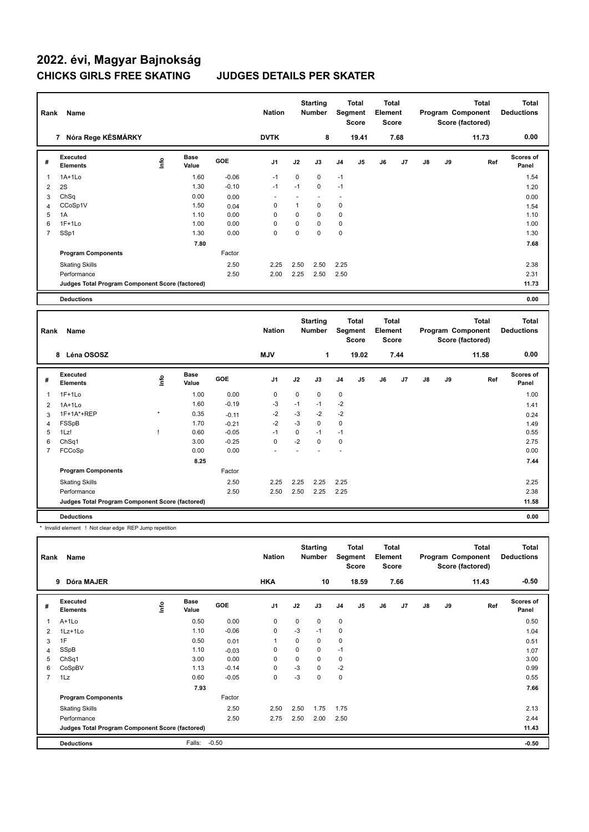| Rank           | Name                                            |      |                      |         | <b>Nation</b>  |             | <b>Starting</b><br><b>Number</b> |             | Total<br>Segment<br><b>Score</b>        | <b>Total</b><br>Element | <b>Score</b> |    |    | <b>Total</b><br>Program Component<br>Score (factored) |     | <b>Total</b><br><b>Deductions</b> |
|----------------|-------------------------------------------------|------|----------------------|---------|----------------|-------------|----------------------------------|-------------|-----------------------------------------|-------------------------|--------------|----|----|-------------------------------------------------------|-----|-----------------------------------|
|                | 7 Nóra Rege KÉSMÁRKY                            |      |                      |         | <b>DVTK</b>    |             | 8                                |             | 19.41                                   |                         | 7.68         |    |    | 11.73                                                 |     | 0.00                              |
| #              | <b>Executed</b><br><b>Elements</b>              | ١rfo | <b>Base</b><br>Value | GOE     | J <sub>1</sub> | J2          | J3                               | J4          | J5                                      | J6                      | J7           | J8 | J9 |                                                       | Ref | Scores of<br>Panel                |
| 1              | $1A+1Lo$                                        |      | 1.60                 | $-0.06$ | $-1$           | 0           | $\mathbf 0$                      | $-1$        |                                         |                         |              |    |    |                                                       |     | 1.54                              |
| $\overline{2}$ | 2S                                              |      | 1.30                 | $-0.10$ | $-1$           | $-1$        | $\mathbf 0$                      | $-1$        |                                         |                         |              |    |    |                                                       |     | 1.20                              |
| 3              | ChSq                                            |      | 0.00                 | 0.00    | ä,             | ä,          | ä,                               | $\sim$      |                                         |                         |              |    |    |                                                       |     | 0.00                              |
| $\overline{4}$ | CCoSp1V                                         |      | 1.50                 | 0.04    | 0              | 1           | $\mathbf 0$                      | 0           |                                         |                         |              |    |    |                                                       |     | 1.54                              |
| 5              | 1A                                              |      | 1.10                 | 0.00    | 0              | $\mathbf 0$ | $\mathbf 0$                      | $\mathbf 0$ |                                         |                         |              |    |    |                                                       |     | 1.10                              |
| 6              | $1F+1Lo$                                        |      | 1.00                 | 0.00    | 0              | 0           | $\mathbf 0$                      | 0           |                                         |                         |              |    |    |                                                       |     | 1.00                              |
| $\overline{7}$ | SSp1                                            |      | 1.30                 | 0.00    | $\Omega$       | 0           | $\Omega$                         | $\mathbf 0$ |                                         |                         |              |    |    |                                                       |     | 1.30                              |
|                |                                                 |      | 7.80                 |         |                |             |                                  |             |                                         |                         |              |    |    |                                                       |     | 7.68                              |
|                | <b>Program Components</b>                       |      |                      | Factor  |                |             |                                  |             |                                         |                         |              |    |    |                                                       |     |                                   |
|                | <b>Skating Skills</b>                           |      |                      | 2.50    | 2.25           | 2.50        | 2.50                             | 2.25        |                                         |                         |              |    |    |                                                       |     | 2.38                              |
|                | Performance                                     |      |                      | 2.50    | 2.00           | 2.25        | 2.50                             | 2.50        |                                         |                         |              |    |    |                                                       |     | 2.31                              |
|                | Judges Total Program Component Score (factored) |      |                      |         |                |             |                                  |             |                                         |                         |              |    |    |                                                       |     | 11.73                             |
|                | <b>Deductions</b>                               |      |                      |         |                |             |                                  |             |                                         |                         |              |    |    |                                                       |     | 0.00                              |
|                |                                                 |      |                      |         |                |             |                                  |             |                                         |                         |              |    |    |                                                       |     |                                   |
|                |                                                 |      |                      |         |                |             |                                  |             |                                         |                         |              |    |    |                                                       |     |                                   |
| Rank           | Name                                            |      |                      |         | <b>Nation</b>  |             | <b>Starting</b><br>Number        |             | <b>Total</b><br>Segment<br><b>Score</b> | <b>Total</b><br>Element | <b>Score</b> |    |    | <b>Total</b><br>Program Component<br>Score (factored) |     | <b>Total</b><br><b>Deductions</b> |
|                | 8 Léna OSOSZ                                    |      |                      |         | <b>MJV</b>     |             | 1                                |             | 19.02                                   |                         | 7.44         |    |    | 11.58                                                 |     | 0.00                              |
| #              | <b>Executed</b><br><b>Elements</b>              | ١nf٥ | <b>Base</b><br>Value | GOE     | J <sub>1</sub> | J2          | J3                               | J4          | J5                                      | J6                      | J7           | J8 | J9 |                                                       | Ref | <b>Scores of</b><br>Panel         |
| 1              | $1F+1Lo$                                        |      | 1.00                 | 0.00    | 0              | 0           | $\mathbf 0$                      | 0           |                                         |                         |              |    |    |                                                       |     | 1.00                              |
| $\overline{2}$ | $1A+1Lo$                                        |      | 1.60                 | $-0.19$ | $-3$           | $-1$        | $-1$                             | $-2$        |                                         |                         |              |    |    |                                                       |     | 1.41                              |
| 3              | 1F+1A*+REP                                      |      | 0.35                 | $-0.11$ | $-2$           | $-3$        | $-2$                             | $-2$        |                                         |                         |              |    |    |                                                       |     | 0.24                              |
| $\overline{4}$ | FSSpB                                           |      | 1.70                 | $-0.21$ | $-2$           | $-3$        | $\Omega$                         | $\mathbf 0$ |                                         |                         |              |    |    |                                                       |     | 1.49                              |
| 5              | 1Lz!                                            | T    | 0.60                 | $-0.05$ | $-1$           | $\mathbf 0$ | $-1$                             | $-1$        |                                         |                         |              |    |    |                                                       |     | 0.55                              |
| 6              | ChSq1                                           |      | 3.00                 | $-0.25$ | 0              | $-2$        | $\mathbf 0$                      | $\mathbf 0$ |                                         |                         |              |    |    |                                                       |     | 2.75                              |
| $\overline{7}$ | FCCoSp                                          |      | 0.00                 | 0.00    |                | L.          |                                  | ÷.          |                                         |                         |              |    |    |                                                       |     | 0.00                              |
|                |                                                 |      | 8.25                 |         |                |             |                                  |             |                                         |                         |              |    |    |                                                       |     | 7.44                              |
|                | <b>Program Components</b>                       |      |                      | Factor  |                |             |                                  |             |                                         |                         |              |    |    |                                                       |     |                                   |
|                | <b>Skating Skills</b>                           |      |                      | 2.50    | 2.25           | 2.25        | 2.25                             | 2.25        |                                         |                         |              |    |    |                                                       |     | 2.25                              |
|                | Performance                                     |      |                      | 2.50    | 2.50           | 2.50        | 2.25                             | 2.25        |                                         |                         |              |    |    |                                                       |     | 2.38                              |
|                | Judges Total Program Component Score (factored) |      |                      |         |                |             |                                  |             |                                         |                         |              |    |    |                                                       |     | 11.58                             |

\* Invalid element ! Not clear edge REP Jump repetition

| Rank           | Name                                            |      |                      |            | <b>Nation</b>  |             | <b>Starting</b><br><b>Number</b> |                | <b>Total</b><br>Segment<br><b>Score</b> | <b>Total</b><br>Element<br>Score |                |               |    | Total<br>Program Component<br>Score (factored) | <b>Total</b><br><b>Deductions</b> |
|----------------|-------------------------------------------------|------|----------------------|------------|----------------|-------------|----------------------------------|----------------|-----------------------------------------|----------------------------------|----------------|---------------|----|------------------------------------------------|-----------------------------------|
|                | Dóra MAJER<br>9                                 |      |                      |            | <b>HKA</b>     |             | 10                               |                | 18.59                                   |                                  | 7.66           |               |    | 11.43                                          | $-0.50$                           |
| #              | Executed<br><b>Elements</b>                     | lnfo | <b>Base</b><br>Value | <b>GOE</b> | J <sub>1</sub> | J2          | J3                               | J <sub>4</sub> | J5                                      | J6                               | J <sub>7</sub> | $\mathsf{J}8$ | J9 | Ref                                            | <b>Scores of</b><br>Panel         |
| $\overline{1}$ | $A+1L0$                                         |      | 0.50                 | 0.00       | 0              | 0           | $\Omega$                         | $\mathbf 0$    |                                         |                                  |                |               |    |                                                | 0.50                              |
| 2              | $1Lz+1Lo$                                       |      | 1.10                 | $-0.06$    | $\mathbf 0$    | $-3$        | $-1$                             | $\mathbf 0$    |                                         |                                  |                |               |    |                                                | 1.04                              |
| 3              | 1F                                              |      | 0.50                 | 0.01       | $\mathbf{1}$   | 0           | 0                                | $\mathbf 0$    |                                         |                                  |                |               |    |                                                | 0.51                              |
| $\overline{4}$ | SSpB                                            |      | 1.10                 | $-0.03$    | 0              | $\mathbf 0$ | 0                                | $-1$           |                                         |                                  |                |               |    |                                                | 1.07                              |
| 5              | ChSq1                                           |      | 3.00                 | 0.00       | 0              | 0           | 0                                | 0              |                                         |                                  |                |               |    |                                                | 3.00                              |
| 6              | CoSpBV                                          |      | 1.13                 | $-0.14$    | 0              | $-3$        | 0                                | $-2$           |                                         |                                  |                |               |    |                                                | 0.99                              |
| $\overline{7}$ | 1Lz                                             |      | 0.60                 | $-0.05$    | $\mathbf 0$    | $-3$        | $\Omega$                         | $\mathbf 0$    |                                         |                                  |                |               |    |                                                | 0.55                              |
|                |                                                 |      | 7.93                 |            |                |             |                                  |                |                                         |                                  |                |               |    |                                                | 7.66                              |
|                | <b>Program Components</b>                       |      |                      | Factor     |                |             |                                  |                |                                         |                                  |                |               |    |                                                |                                   |
|                | <b>Skating Skills</b>                           |      |                      | 2.50       | 2.50           | 2.50        | 1.75                             | 1.75           |                                         |                                  |                |               |    |                                                | 2.13                              |
|                | Performance                                     |      |                      | 2.50       | 2.75           | 2.50        | 2.00                             | 2.50           |                                         |                                  |                |               |    |                                                | 2.44                              |
|                | Judges Total Program Component Score (factored) |      |                      |            |                |             |                                  |                |                                         |                                  |                |               |    |                                                | 11.43                             |
|                | <b>Deductions</b>                               |      | Falls:               | $-0.50$    |                |             |                                  |                |                                         |                                  |                |               |    |                                                | $-0.50$                           |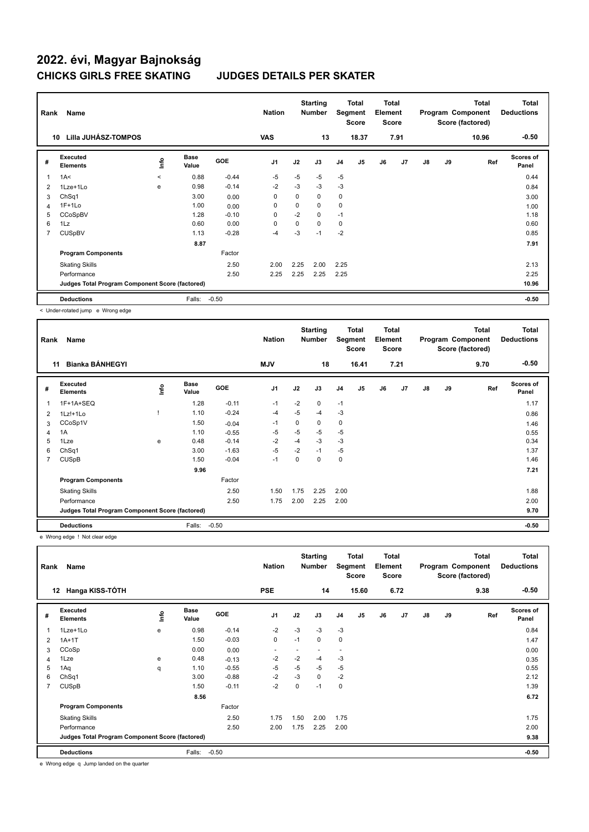| Rank           | Name                                            |         |                      |         | <b>Nation</b>  |          | <b>Starting</b><br><b>Number</b> |                | <b>Total</b><br>Segment<br><b>Score</b> | <b>Total</b><br>Element<br><b>Score</b> |      |               |    | <b>Total</b><br>Program Component<br>Score (factored) | <b>Total</b><br><b>Deductions</b> |
|----------------|-------------------------------------------------|---------|----------------------|---------|----------------|----------|----------------------------------|----------------|-----------------------------------------|-----------------------------------------|------|---------------|----|-------------------------------------------------------|-----------------------------------|
|                | Lilla JUHÁSZ-TOMPOS<br>10                       |         |                      |         | <b>VAS</b>     |          | 13                               |                | 18.37                                   |                                         | 7.91 |               |    | 10.96                                                 | $-0.50$                           |
| #              | Executed<br><b>Elements</b>                     | Life    | <b>Base</b><br>Value | GOE     | J <sub>1</sub> | J2       | J3                               | J <sub>4</sub> | J5                                      | J6                                      | J7   | $\mathsf{J}8$ | J9 | Ref                                                   | <b>Scores of</b><br>Panel         |
|                | 1A<                                             | $\prec$ | 0.88                 | $-0.44$ | $-5$           | $-5$     | $-5$                             | $-5$           |                                         |                                         |      |               |    |                                                       | 0.44                              |
| 2              | $1$ Lze $+1$ Lo                                 | e       | 0.98                 | $-0.14$ | $-2$           | $-3$     | $-3$                             | $-3$           |                                         |                                         |      |               |    |                                                       | 0.84                              |
| 3              | ChSq1                                           |         | 3.00                 | 0.00    | 0              | 0        | 0                                | 0              |                                         |                                         |      |               |    |                                                       | 3.00                              |
| 4              | $1F+1Lo$                                        |         | 1.00                 | 0.00    | 0              | $\Omega$ | $\Omega$                         | $\mathbf 0$    |                                         |                                         |      |               |    |                                                       | 1.00                              |
| 5              | CCoSpBV                                         |         | 1.28                 | $-0.10$ | $\mathbf 0$    | $-2$     | 0                                | $-1$           |                                         |                                         |      |               |    |                                                       | 1.18                              |
| 6              | 1Lz                                             |         | 0.60                 | 0.00    | $\mathbf 0$    | 0        | 0                                | 0              |                                         |                                         |      |               |    |                                                       | 0.60                              |
| $\overline{7}$ | <b>CUSpBV</b>                                   |         | 1.13                 | $-0.28$ | $-4$           | $-3$     | $-1$                             | $-2$           |                                         |                                         |      |               |    |                                                       | 0.85                              |
|                |                                                 |         | 8.87                 |         |                |          |                                  |                |                                         |                                         |      |               |    |                                                       | 7.91                              |
|                | <b>Program Components</b>                       |         |                      | Factor  |                |          |                                  |                |                                         |                                         |      |               |    |                                                       |                                   |
|                | <b>Skating Skills</b>                           |         |                      | 2.50    | 2.00           | 2.25     | 2.00                             | 2.25           |                                         |                                         |      |               |    |                                                       | 2.13                              |
|                | Performance                                     |         |                      | 2.50    | 2.25           | 2.25     | 2.25                             | 2.25           |                                         |                                         |      |               |    |                                                       | 2.25                              |
|                | Judges Total Program Component Score (factored) |         |                      |         |                |          |                                  |                |                                         |                                         |      |               |    |                                                       | 10.96                             |
|                | <b>Deductions</b>                               |         | Falls:               | $-0.50$ |                |          |                                  |                |                                         |                                         |      |               |    |                                                       | $-0.50$                           |

< Under-rotated jump e Wrong edge

| Rank           | Name                                            |    |                      |            | <b>Nation</b>  |          | <b>Starting</b><br><b>Number</b> |                | Total<br>Segment<br><b>Score</b> | Total<br>Element<br><b>Score</b> |                |               |    | Total<br>Program Component<br>Score (factored) | <b>Total</b><br><b>Deductions</b> |
|----------------|-------------------------------------------------|----|----------------------|------------|----------------|----------|----------------------------------|----------------|----------------------------------|----------------------------------|----------------|---------------|----|------------------------------------------------|-----------------------------------|
|                | <b>Bianka BÁNHEGYI</b><br>11                    |    |                      |            | <b>MJV</b>     |          | 18                               |                | 16.41                            |                                  | 7.21           |               |    | 9.70                                           | $-0.50$                           |
| #              | Executed<br><b>Elements</b>                     | ١m | <b>Base</b><br>Value | <b>GOE</b> | J <sub>1</sub> | J2       | J3                               | J <sub>4</sub> | J <sub>5</sub>                   | J6                               | J <sub>7</sub> | $\mathsf{J}8$ | J9 | Ref                                            | <b>Scores of</b><br>Panel         |
|                | 1F+1A+SEQ                                       |    | 1.28                 | $-0.11$    | $-1$           | $-2$     | 0                                | $-1$           |                                  |                                  |                |               |    |                                                | 1.17                              |
| 2              | $1Lz! + 1Lo$                                    |    | 1.10                 | $-0.24$    | $-4$           | $-5$     | $-4$                             | $-3$           |                                  |                                  |                |               |    |                                                | 0.86                              |
| 3              | CCoSp1V                                         |    | 1.50                 | $-0.04$    | $-1$           | 0        | 0                                | 0              |                                  |                                  |                |               |    |                                                | 1.46                              |
| 4              | 1A                                              |    | 1.10                 | $-0.55$    | -5             | $-5$     | $-5$                             | $-5$           |                                  |                                  |                |               |    |                                                | 0.55                              |
| 5              | 1Lze                                            | e  | 0.48                 | $-0.14$    | $-2$           | $-4$     | $-3$                             | $-3$           |                                  |                                  |                |               |    |                                                | 0.34                              |
| 6              | Ch <sub>Sq1</sub>                               |    | 3.00                 | $-1.63$    | $-5$           | $-2$     | $-1$                             | $-5$           |                                  |                                  |                |               |    |                                                | 1.37                              |
| $\overline{7}$ | <b>CUSpB</b>                                    |    | 1.50                 | $-0.04$    | $-1$           | $\Omega$ | $\Omega$                         | $\mathbf 0$    |                                  |                                  |                |               |    |                                                | 1.46                              |
|                |                                                 |    | 9.96                 |            |                |          |                                  |                |                                  |                                  |                |               |    |                                                | 7.21                              |
|                | <b>Program Components</b>                       |    |                      | Factor     |                |          |                                  |                |                                  |                                  |                |               |    |                                                |                                   |
|                | <b>Skating Skills</b>                           |    |                      | 2.50       | 1.50           | 1.75     | 2.25                             | 2.00           |                                  |                                  |                |               |    |                                                | 1.88                              |
|                | Performance                                     |    |                      | 2.50       | 1.75           | 2.00     | 2.25                             | 2.00           |                                  |                                  |                |               |    |                                                | 2.00                              |
|                | Judges Total Program Component Score (factored) |    |                      |            |                |          |                                  |                |                                  |                                  |                |               |    |                                                | 9.70                              |
|                | <b>Deductions</b>                               |    | Falls:               | $-0.50$    |                |          |                                  |                |                                  |                                  |                |               |    |                                                | $-0.50$                           |

e Wrong edge ! Not clear edge

| Rank | Name                                            |      |                      |            | <b>Nation</b>  |      | <b>Starting</b><br><b>Number</b> |             | <b>Total</b><br>Segment<br><b>Score</b> | <b>Total</b><br>Element<br><b>Score</b> |                |               |    | <b>Total</b><br>Program Component<br>Score (factored) | Total<br><b>Deductions</b> |
|------|-------------------------------------------------|------|----------------------|------------|----------------|------|----------------------------------|-------------|-----------------------------------------|-----------------------------------------|----------------|---------------|----|-------------------------------------------------------|----------------------------|
|      | 12 Hanga KISS-TÓTH                              |      |                      |            | <b>PSE</b>     |      | 14                               |             | 15.60                                   |                                         | 6.72           |               |    | 9.38                                                  | $-0.50$                    |
| #    | Executed<br><b>Elements</b>                     | lnfo | <b>Base</b><br>Value | <b>GOE</b> | J <sub>1</sub> | J2   | J3                               | J4          | J5                                      | J6                                      | J <sub>7</sub> | $\mathsf{J}8$ | J9 | Ref                                                   | <b>Scores of</b><br>Panel  |
|      | 1Lze+1Lo                                        | e    | 0.98                 | $-0.14$    | $-2$           | $-3$ | $-3$                             | $-3$        |                                         |                                         |                |               |    |                                                       | 0.84                       |
| 2    | $1A+1T$                                         |      | 1.50                 | $-0.03$    | $\mathbf 0$    | $-1$ | 0                                | $\mathbf 0$ |                                         |                                         |                |               |    |                                                       | 1.47                       |
| 3    | CCoSp                                           |      | 0.00                 | 0.00       | -              |      |                                  | ۰           |                                         |                                         |                |               |    |                                                       | 0.00                       |
| 4    | 1Lze                                            | e    | 0.48                 | $-0.13$    | $-2$           | $-2$ | $-4$                             | $-3$        |                                         |                                         |                |               |    |                                                       | 0.35                       |
| 5    | 1Aq                                             | q    | 1.10                 | $-0.55$    | $-5$           | $-5$ | $-5$                             | $-5$        |                                         |                                         |                |               |    |                                                       | 0.55                       |
| 6    | ChSq1                                           |      | 3.00                 | $-0.88$    | $-2$           | $-3$ | 0                                | $-2$        |                                         |                                         |                |               |    |                                                       | 2.12                       |
| 7    | <b>CUSpB</b>                                    |      | 1.50                 | $-0.11$    | $-2$           | 0    | $-1$                             | 0           |                                         |                                         |                |               |    |                                                       | 1.39                       |
|      |                                                 |      | 8.56                 |            |                |      |                                  |             |                                         |                                         |                |               |    |                                                       | 6.72                       |
|      | <b>Program Components</b>                       |      |                      | Factor     |                |      |                                  |             |                                         |                                         |                |               |    |                                                       |                            |
|      | <b>Skating Skills</b>                           |      |                      | 2.50       | 1.75           | 1.50 | 2.00                             | 1.75        |                                         |                                         |                |               |    |                                                       | 1.75                       |
|      | Performance                                     |      |                      | 2.50       | 2.00           | 1.75 | 2.25                             | 2.00        |                                         |                                         |                |               |    |                                                       | 2.00                       |
|      | Judges Total Program Component Score (factored) |      |                      |            |                |      |                                  |             |                                         |                                         |                |               |    |                                                       | 9.38                       |
|      | <b>Deductions</b>                               |      | Falls:               | $-0.50$    |                |      |                                  |             |                                         |                                         |                |               |    |                                                       | $-0.50$                    |

e Wrong edge q Jump landed on the quarter